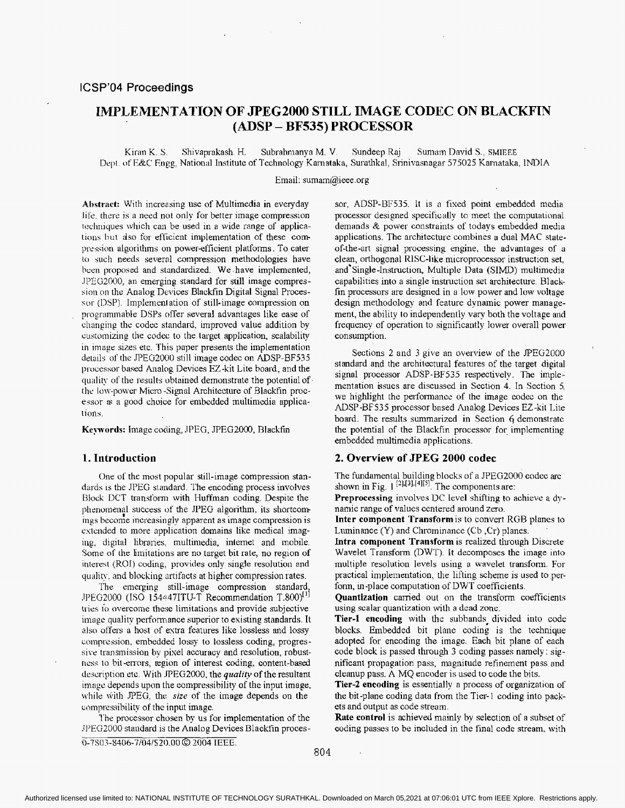# **IMPLEMENTATION OF JPEG2000 STILL IMaGE CODEC ON BLACKFIN (ADSP** - **BF535) PROCESSOR**

Kiren K. **S.** Shivaprakash. H. Subrahnianya M. V. Sundeep Raj Sumam David S.; **SMIEEE**  Ilept. af E&C **Engg,** National Institute of Technology Kamataka, **Suratlikal:** Srinivasnagar 575025 Kamataka, INDIA

Email: sumam@ieee.org

**Abstract:** With increasing use of Multimedia in everyday life. there **is** a need not only *for* better image compression techniques which can be used in a wide range of applications hut dso for efficient implementation of these com pression algorithms on power-efficient platforms. To cater to such needs several compression methodologies have heen proposed and standardized. We have implemented, JPEG2000, an emerging standard for still image compression on the Analog Devices Blackfin Digital Signal Processor (DSP). Implementation of still-image compression on programmable DSPs offer several advantages like ease of changing the codcc standard, improved value addition by cusromizing the codec to the target application, scalabiliv in image sizes etc. This paper presents the implemenlation details of the .PEG2000 still image codec on ADSP-BF535 processor based Analog Devices EZ-kit Lite board, and the quality of the results obtained demonstrate the potential of the low-power Micro-Signal Architecture of Blackfin processor *is* a good choice for embedded multimedia applica-**110115.** 

**Keyvords:** Image coding, IPEG, JPEG2000, Blackfin

#### **1. Introduction**

One of the most popular still-image compression standards is the JPEG standard. The encoding process involves Block DCT transform with Huffnian coding. Despite the phenomenal success of the .PEG algorithm, its shortcomings become increasingly apparent as image compression is estcnded to more application domains like medical imaging, digital libraries, multimedia, internet and mobile. Some of the limitations are no target bit rate, no region of intercst (ROI) coding, provides only single resolution and quality. and **blocking** artifacts at higher compression rates.

The emerging still-image compression standard, .IPEG2000 (ISO 154447ITU-T Recommendation T.800)<sup>[1]</sup> tries to overcome these limitations and provide subjective image quality performance superior to existing standards. It **AJSU** offers a host of extra features **like** lossless and lossy comprcssion; embedded lossy to lossless coding, progressive transmission **by** pisel accuracy and resolution, robustness to bit -errors, region of interest coding, content-based description etc. With .fPEG2000, the *quality* of the resultant image depends upon the compressibility of the input image, while with .PEG, the *size* of the image depends on the compressibility of the input image.

The processor chosen by **us** for implementation of the JPEG2000 standard is the Analog Devices Blackfin proces-0-7803-8406-7/04/\$20.00 @ 2004 IEEE.

sor, ADSP-BFS35. It is a fixed point embedded media processor designed specifically to meet the computational demands & power constraints of todays embedded media applications, The architecture combines a dual **MAC** stateof-the-art signal processing engine, the advantages of a clean, orthogonal RISC-like microprocessor instruction set, and'single-Instruction, Multiple Data **(SIMD)** multimedia capabilities into a single instruction set architecture. Blackfin processors are designed in a low power and low voltage design methodology and feature dynamic power management, the ability to independently vary both the voltage and frequency of operation to significantly lower overall power consumption.

Sections 2 and 3 give an overview of the PEG2000 standard and the architectural features of the target digital signal processor ADSP-BF535 respectively. The implementation ksues are discussed in Section 4. In Section *5.*  we highlight the performance of the image codec on the **ADSP-BF535** processor bnsed **Analog** Devices EZ-kit Lite board. The results summarized in Section 6 demonstrate the potential of the Blackfin processor for implementing embedded multimedia applications.

# **2. Overview of JPEG 2000 codec**

The fundamental building blocks of a JPEG2000 codec are shown in Fig.  $1^{(2)1,14}$ <sup>121</sup>. The components are:

**Preprocessing** involves DC level shifting to achieve **a** dynamic range **of** values centered around zero.

**Inter component Transform** is to convert RGB planes to Luminance (Y) and Chrominance (Cb **,Cr)** planes.

**Intra component Transform** is realized through Discrete Wavelet Transform (DWT). It decomposes the image into multiple resolution levels using **a** wavelet transform. For practical implementation, the lifting scheme is used to perfonn, in-place computation of DWT coefficients.

**Quantization** carried out on the transform coefficients using scalar quantization with **a** dead zonc.

**Tier-1 encoding** with the subhands, divided into code blocks. Embedded bit plane coding is the technique adopted for encoding the image. Each bit plane of each code block is passed through **3** coding passes namely : significant propagation pass, magnitude refinement pass and cleanup pass. **A** MQ encoder is used to code the bits.

**Tier-2 encoding is** essentialiv a process of organization of the bit-plane coding data from the Tier-1 coding into packets and output as code stream.

**Rate control** is achieved mainly by selection of **a** subset of coding passes to be included in the final code stream, with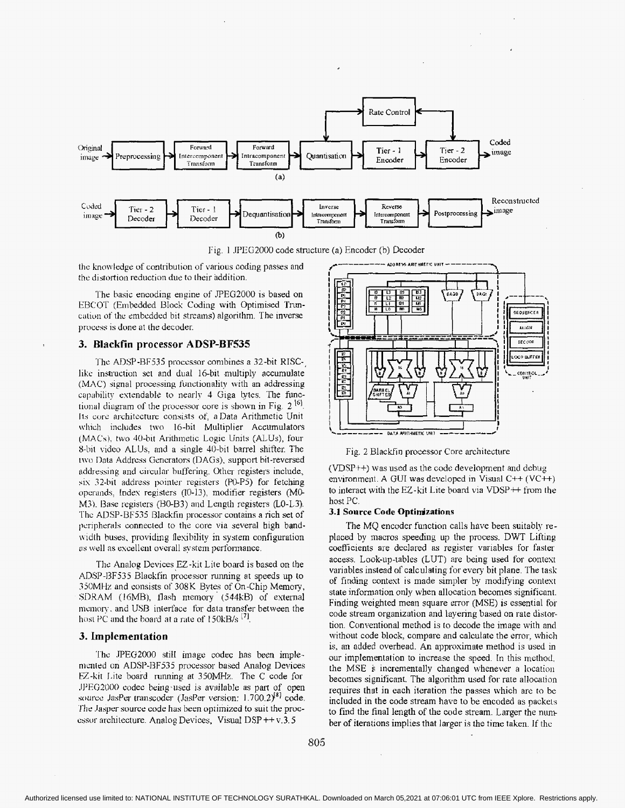



the knowledge of contribution of various coding passes and the distortion reduction due to their addition.

The basic encoding engine of JPEG2000 is based on EBCOT (Embedded Block Coding with Optimised Truncation of the embedded bit streams) algorithm. The inverse process is done at the decoder.

### 3. Blackfin processor ADSP-BF535

The ADSP-BF535 processor combines a 32-bit RISClike instruction set and dual 16-bit multiply accumulate (MAC) signal processing functionality with an addressing capability extendable to nearly 4 Giga bytes. The functional diagram of the processor core is shown in Fig.  $2^{16}$ . Its core architecture consists of, a Data Arithmetic Unit which includes two 16-bit Multiplier Accumulators (MACs), two 40-bit Arithmetic Logic Units (ALUs), four 8-bit video ALUs, and a single 40-bit barrel shifter. The two Data Address Generators (DAGs), support bit-reversed addressing and circular buffering. Other registers include, six 32-bit address pointer registers (P0-P5) for fetching operands, Index registers (I0-13), modifier registers (M0-M3). Base registers (B0-B3) and Length registers (L0-L3). The ADSP-BF535 Blackfin processor contains a rich set of peripherals connected to the core via several high bandwidth buses, providing flexibility in system configuration as well as excellent overall system performance.

The Analog Devices EZ-kit Lite board is based on the ADSP-BF535 Blackfin processor running at speeds up to 350MHz and consists of 308K Bytes of On-Chip Memory, SDRAM (16MB), flash memory (544kB) of external memory, and USB interface for data transfer between the host PC and the board at a rate of 150kB/s [7].

# 3. Implementation

The JPEG2000 still image codec has been implemented on ADSP-BF535 processor based Analog Devices EZ-kit Lite board running at 350MHz. The C code for JPEG2000 codec being used is available as part of open source JasPer transcoder (JasPer version:  $1.700.2$ )<sup>81</sup> code. The Jasper source code has been optimized to suit the processor architecture. Analog Devices, Visual DSP++v.3.5



Fig. 2 Blackfin processor Core architecture

 $(VDSP++)$  was used as the code development and debug environment. A GUI was developed in Visual  $C++$  (VC $++$ ) to interact with the EZ-kit Lite board via  $VDSP + f$  from the host PC.

# 3.1 Source Code Optimizations

The MQ encoder function calls have been suitably replaced by macros speeding up the process. DWT Lifting coefficients are declared as register variables for faster access. Look-up-tables (LUT) are being used for context variables instead of calculating for every bit plane. The task of finding context is made simpler by modifying context state information only when allocation becomes significant. Finding weighted mean square error (MSE) is essential for code stream organization and layering based on rate distortion. Conventional method is to decode the image with and without code block, compare and calculate the error, which is, an added overhead. An approximate method is used in our implementation to increase the speed. In this method, the MSE is incrementally changed whenever a location becomes significant. The algorithm used for rate allocation requires that in each iteration the passes which are to be included in the code stream have to be encoded as packets to find the final length of the code stream. Larger the number of iterations implies that larger is the time taken. If the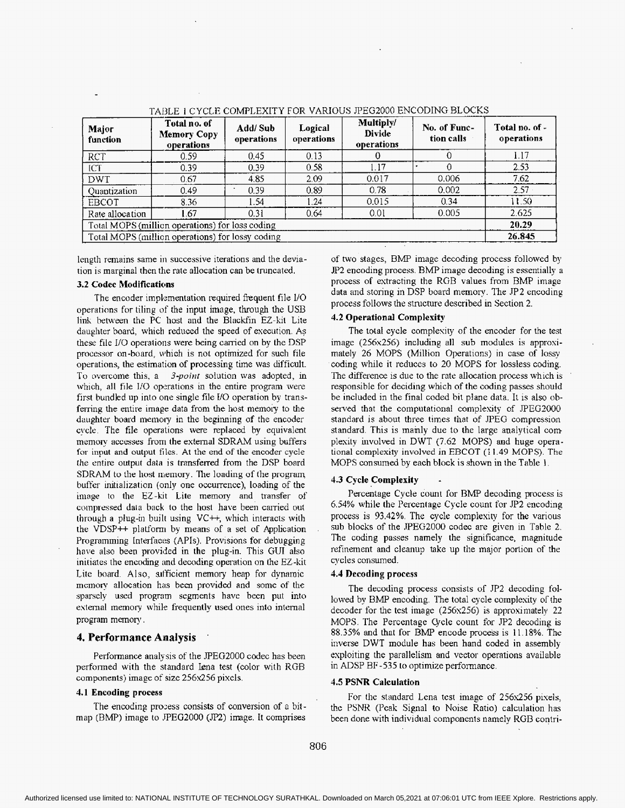| Major<br>function                                | Total no. of<br><b>Memory Copy</b><br>operations | Add/Sub<br>operations | Logical<br>operations | Multiply/<br><b>Divide</b><br>operations | No. of Func-<br>tion calls | Total no. of -<br>operations |
|--------------------------------------------------|--------------------------------------------------|-----------------------|-----------------------|------------------------------------------|----------------------------|------------------------------|
| <b>RCT</b>                                       | 0.59                                             | 0.45                  | 0.13                  |                                          |                            | 1.17                         |
| <b>ICT</b>                                       | 0.39                                             | 0.39                  | 0.58                  | 1.17                                     | $\Omega$                   | 2.53                         |
| <b>DWT</b>                                       | 0.67                                             | 4.85                  | 2.09                  | 0.017                                    | 0.006                      | 7.62                         |
| Quantization                                     | 0.49                                             | 0.39                  | 0.89                  | 0.78                                     | 0.002                      | $2.57 -$                     |
| <b>EBCOT</b>                                     | 8.36                                             | 1.54                  | 1.24                  | 0.015                                    | 0.34                       | 11.50                        |
| Rate allocation                                  | 1.67                                             | 0.31                  | 0.64                  | 0.01                                     | 0.005                      | 2.625                        |
| Total MOPS (million operations) for loss coding  |                                                  |                       |                       |                                          | 20.29                      |                              |
| Total MOPS (million operations) for lossy coding |                                                  |                       |                       |                                          |                            | 26.845                       |

TABLE 1 CYCLE COMPLEXITY FOR VARIOUS JPEG2000 ENCODING BLOCKS

length remains same in successive iterations and the deviation **is** marginal then the rate allocation can be truncated.

#### **3.2 Codec Modificaticm**

The encoder implementation required fiequent file 1/O operations for tiling of the input image, through the US3 link between the PC host and the Blackfin EZ-kit Lite daughter board, which reduced the speed of execution. As these file I/O operations were being canied on by the DSP processor on-board, which is not optimized for such file operations, the estimation of processing time was difficult. To overcome this, a *3-poirrt* solution was adopted, in which, all file *I/O* operations in the entire program were first bundled up into one single file VO operation by transferring the entire image data from the host memory to the daughter board memory in the beginning of the encoder cycle. The **tile** operations were replaced by equivalent memory accesses from the external SDRAM using buffers for **input and** output files. At the end of **the** encoder cycle the entire output data is transferred from the DSP board SDRAM to the host memory. The loading of the program buffer initialization (only one occurrence), loading of the image to the EZ-kit Lite memory and transfer of compressed data back to the host have been carried out through a plug-in built using  $VC++$ , which interacts with the VDSP++ platform by means of a set of Application Programming Interfaces (APIs). Provisions for debugging **have** also been provided in the plug-in. This GUI also initiates the encoding and decoding operation on the EZ-kit Lite board. Also, sufficient memory heap for dynamic memory allocation has been provided and some of the sparsely used program segments have been put into external memory while frequently used ones into internal program memory.

### **4. Performance Analysis** '

Performance analysis of the PEG2000 codec has been performed with the standard lena test (color with RGB components) image of size 256x256 pixels.

#### **4.1 Encoding process**

The encoding process consists of conversion of a bitmap (BMP) image to .PEG2000 *(Jp2)* image. It comprises of two stages, **EMP** image decoding process followed by *JP2* encoding process. BMP image decoding is essentially a process of extracting the RGB values from BMP image data and storing in DSP board memory. The JP2 encoding process follows the structure described in Section 2.

### **4.2 Operational Complexity**

The total cycle complexity of the encoder for the test image (256x256) including all **sub** modules is approximately 26 MOPS (Million Operations) in case of lossy coding while it reduces to *20* MOPS for lossless coding. The difference is due to the rate allocation process which is responsible for deciding which of the coding passes should be included in the final coded bit plane data. It is also observed that the computational complexity of PEG2000 standard is about three times that of .PEG compression standard. This is mainly due to the large analytical com plexitv involved in DWT *(7.62* MOPS) and huge operational complexity involved in EBCOT (I 1.49 MOPS). The MOPS consumed by each block is shown in the Table 1

# **4.3 Cycle Complexity** -

Percentage Cycle count for **BMF** decoding process is *4.54%* while the Percentage Cycle count for JP2 encoding process is 93.42%. The cycle complexity for the various sub blocks of the .PEG2000 codec are given in [Table](#page-3-0) 2. The coding passes namely the significance, magnitude refinement and cleanup take up the major portion of the cycles consumed.

#### **4.4 Decoding process**

The decoding process consists of JP2 decoding followed by **BMP** encoding. The total cycle complexity of the decoder for the test image (256~256) is approximately 22 MOPS. The Percentage Cycle count for JP2 decoding is *88.35%* and that for BMP encode process is **1** I. 18%. The inverse DWT module has been hand coded in assembly exploiting the parallelism and vector operations available in ADSP BF-535 to optimize performance.

#### **4.5 PSNR Calculation**

For the standard Lena test image of 256x256 pixels, the PSNR (Peak Signal to Noise Ratio) calculation has been done with individual components namely RGB contri-